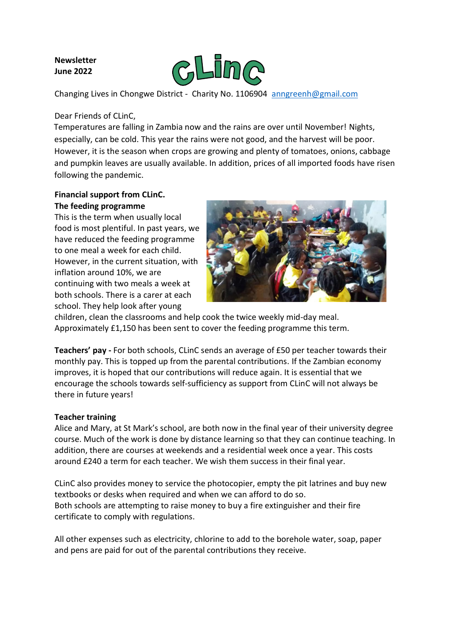## **Newsletter June 2022**



Changing Lives in Chongwe District - Charity No. 1106904 [anngreenh@gmail.com](mailto:anngreenh@gmail.com)

### Dear Friends of CLinC,

Temperatures are falling in Zambia now and the rains are over until November! Nights, especially, can be cold. This year the rains were not good, and the harvest will be poor. However, it is the season when crops are growing and plenty of tomatoes, onions, cabbage and pumpkin leaves are usually available. In addition, prices of all imported foods have risen following the pandemic.

### **Financial support from CLinC. The feeding programme**

This is the term when usually local food is most plentiful. In past years, we have reduced the feeding programme to one meal a week for each child. However, in the current situation, with inflation around 10%, we are continuing with two meals a week at both schools. There is a carer at each school. They help look after young



children, clean the classrooms and help cook the twice weekly mid-day meal. Approximately £1,150 has been sent to cover the feeding programme this term.

**Teachers' pay -** For both schools, CLinC sends an average of £50 per teacher towards their monthly pay. This is topped up from the parental contributions. If the Zambian economy improves, it is hoped that our contributions will reduce again. It is essential that we encourage the schools towards self-sufficiency as support from CLinC will not always be there in future years!

### **Teacher training**

Alice and Mary, at St Mark's school, are both now in the final year of their university degree course. Much of the work is done by distance learning so that they can continue teaching. In addition, there are courses at weekends and a residential week once a year. This costs around £240 a term for each teacher. We wish them success in their final year.

CLinC also provides money to service the photocopier, empty the pit latrines and buy new textbooks or desks when required and when we can afford to do so. Both schools are attempting to raise money to buy a fire extinguisher and their fire certificate to comply with regulations.

All other expenses such as electricity, chlorine to add to the borehole water, soap, paper and pens are paid for out of the parental contributions they receive.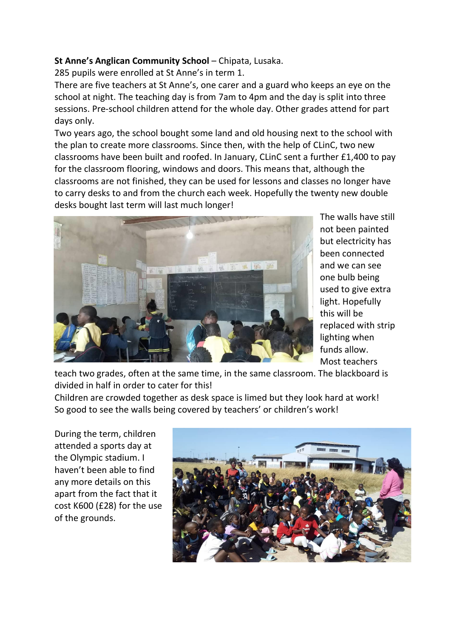# **St Anne's Anglican Community School** – Chipata, Lusaka.

285 pupils were enrolled at St Anne's in term 1.

There are five teachers at St Anne's, one carer and a guard who keeps an eye on the school at night. The teaching day is from 7am to 4pm and the day is split into three sessions. Pre-school children attend for the whole day. Other grades attend for part days only.

Two years ago, the school bought some land and old housing next to the school with the plan to create more classrooms. Since then, with the help of CLinC, two new classrooms have been built and roofed. In January, CLinC sent a further £1,400 to pay for the classroom flooring, windows and doors. This means that, although the classrooms are not finished, they can be used for lessons and classes no longer have to carry desks to and from the church each week. Hopefully the twenty new double desks bought last term will last much longer!



The walls have still not been painted but electricity has been connected and we can see one bulb being used to give extra light. Hopefully this will be replaced with strip lighting when funds allow. Most teachers

teach two grades, often at the same time, in the same classroom. The blackboard is divided in half in order to cater for this!

Children are crowded together as desk space is limed but they look hard at work! So good to see the walls being covered by teachers' or children's work!

During the term, children attended a sports day at the Olympic stadium. I haven't been able to find any more details on this apart from the fact that it cost K600 (£28) for the use of the grounds.

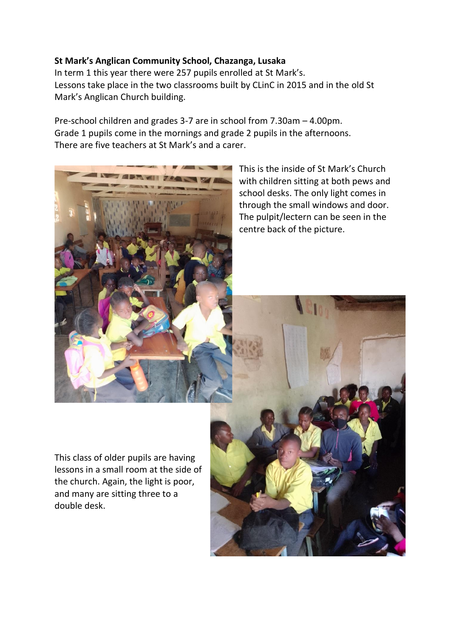# **St Mark's Anglican Community School, Chazanga, Lusaka**

In term 1 this year there were 257 pupils enrolled at St Mark's. Lessons take place in the two classrooms built by CLinC in 2015 and in the old St Mark's Anglican Church building.

Pre-school children and grades 3-7 are in school from 7.30am – 4.00pm. Grade 1 pupils come in the mornings and grade 2 pupils in the afternoons. There are five teachers at St Mark's and a carer.



This is the inside of St Mark's Church with children sitting at both pews and school desks. The only light comes in through the small windows and door. The pulpit/lectern can be seen in the centre back of the picture.

This class of older pupils are having lessons in a small room at the side of the church. Again, the light is poor, and many are sitting three to a double desk.